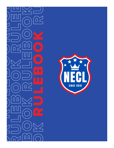

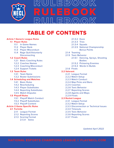

 $|\Xi|$ B $\langle$ ILEBOOK RULEBOOK

# TABLE OF CONTENTS

### **[Article 1 Generic League Rules](#page-2-0)**

#### **1.1 [Player Rules](#page-2-1)**

- 1.1.1 In Game Names
- 1.1.2 Player Rank
- 1.1.3 Player Misconduct
- 1.1.4 Rage Quit/Voluntarily **Disconnecting**

#### **1.2 [Coach Rules](#page-3-0)**

- 1.2.1 Basic Coaching Rules
- 1.2.2 Coaches Names
- 1.2.3 Coaching Misconduct
- 1.2.4 Support Tickets

#### **1.3 [Team Rules](#page-4-0)**

- 1.3.1 Team Name
- 1.3.2 Roster Submissions
- **1.4 [Scheduling and Matches](#page-4-1)**
	- 1.4.1 Basic Rules
	- 1.4.2 Rescheduling
	- 1.4.3 Player Substitutes
	- 1.4.4 Reporting Substitutes
	- 1.4.5 Match Disputes

#### **1.5 [Playoff Rules](#page-5-0)**

- 1.5.1 Playoff Match Conduct
- 1.5.2 Playoff Substitutes
- 1.5.3 Playoff Content

### **[Article 2 Game Specific Rules](#page-6-0)**

- **2.1 [Fortnite](#page-6-1)**
	- 2.1.1 League Format
	- 2.1.2 Reporting Scores
	- 2.1.3 Scoring Format 2.1.3.1 Solos
- 2.1.3.2 Duos
- 2.1.3.3 Trios
- 2.1.3.4 Squads
- 2.1.3.5 National Championship Bonus Points
- 2.1.4 Teaming
- 2.1.5 Toxic Behavior
	- 2.1.5.1 Dancing, Sprays, Shooting Bodies
	- 2.1.5.2 Pickaxing Enemies
	- 2.1.5.3 Words In Builds
- 2.1.6 Finals

#### **2.2 [Valorant](#page-9-0)**

- 2.2.1 League Format
- 2.2.2 Match Setup
- 2.2.3 Match Conduct
- 2.2.4 Map Picks and Bans
- 2.2.5 Coaches
- 2.2.6 Toxic Behavior
- 2.2.7 Reporting Scores
- 2.2.8 Agents and Maps
- 2.2.9 Finals

#### **2.3 [Rocket League](#page-11-0)**

- 2.3.1 League Format
- 2.3.2 Match Setup
- 2.3.3 Disconnection or Technical Issues
- 2.3.4 Timeouts
- 2.3.5 Toxic Behavior
- 2.3.6 Reporting Scores
- 2.3.7 Finals

*Updated April 2022*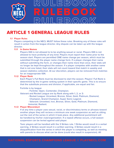

## <span id="page-2-0"></span>ARTICLE 1 GENERAL LEAGUE RULES

#### <span id="page-2-1"></span>**1.1 Player Rules**

 Players competing in the NECL MUST follow these rules. Breaking any of these rules will result in action from the league director. Any dispute can be taken up with the league director.

#### **1.1.1 In Game Names**

 Players IGN is not allowed to to be anything sexual or racial. Players IGN is not allowed to have profanity of any kind. Players must report their name prior to the season start. Players are permitted ONE name change per season, which must be submitted through the player name change form. If a player changes their name without submitting the form, or changes their name more than once, their stats will no longer be kept throughout the season. If a player competes with another name that is not one listed, their stats will not count toward that match in weekly and season statistics collection. At our discretion, players can be removed from matches for an inappropriate IGN.

#### **1.1.2 Player Rank**

 Each Player's Full Rank must be disclosed to start the season. Players' Full Rank is determined by the in-game ranking system in their specific game. This is to ensure that the substitute process and division, if applicable, are equal and fair.

Fortnite is by league:

- Fortnite: Open, Contender, Champion.

Valorant and Rocket League are by Rank along with 1, 2, or 3:

- Rocket League: Unranked, Bronze, Silver, Gold, Platinum, Diamond,
	- Champion, Grand Champion, Super Sonic Legend.
- Valorant: Unranked, Iron, Bronze, Silver, Gold, Platinum, Diamond,
- Immortal, Radiant.

#### **1.1.3 Player Misconduct**

 If at any time a player uses sexual, racial, or discriminatory terms or phrases toward another player they will recieve a minimum one week suspension as well as sitting out the rest of the series in which it took place. Any additional punishment will be handled by his/her club/organization. If a repeat offense occurs, a full season suspension can be levied against said player.

 Toxic players will be handled with the 3 Strikes rule. 1 Strike would result in a verbal warning. 2 Strikes would result in a written warning. 3 Strikes would result in a disqualification from the series in which the player is competing, as well as meeting with parents to discuss what can be done (could also result in suspension). All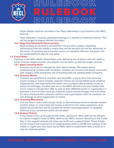

Player Strikes must be recorded in the Player Misconduct Log Channel in the NECL Discord.

 Toxic Definition: Causing unpleasant feelings in a harmful or malicious manner. This will be judged at league officials discretion.

#### **1.1.4 Rage Quit/Voluntarily Disconnecting**

 Rage quitting of any kind is not allowed. If at any time a player voluntarily disconnects from the middle a match they will be forced to sit out the remainder of the series. If voluntary disconnection occurs on repeated offenses, the player will be suspended from play for one week.

#### <span id="page-3-0"></span>**1.2 Coach Rules**

 Coaches in the NECL MUST follow these rules. Breaking any of these rules will result in action from the league director. Any dispute can be taken up with the league director.

#### **1.2.1 Basic Coaching Rules**

 Coaches are to set an example for their kids to follow. This means being professional at all times with all parties. Coaches are to treat each player and coach with respect, while doing their job of teaching kids the fundamentals of esports.

#### **1.2.2 Coaches Names**

 Coaches are permitted to use their own alias/IGN, or go by their first name (ex. Coach chuegi or Coach Charlie). Coaches names are not permitted to be anything inappropriate, and must follow the same rules as players (No profanity, racial, or sexual terminology). Coaches that are in the NECL discord must also update their server name to include their IGN, as well as their affiliated center or organization in brackets in front of their name (ex. [Uptime] Coach Charlie/chuegi). This is to allow for easy communication between coaches and organizations with no confusion on who belongs to what organization or teams.

#### **1.2.3 Coaching Misconduct**

 If at any time a coach uses sexual, racial, or discriminatory terms or phrases toward another player or coach they will recieve a minimum one week suspension. Any additional punishment will be handled by his/her club/organization. If repeated offenses occur, permanent action will be taken.

#### **1.2.4 Support Tickets**

 If any issues come up throughout the week, coaches or other staff will be allowed to submit a support ticket to NECL Staff via the NECL discord. Reacting to the Ticket Tool in the support channel will allow you to fill out a support ticket. These tickets will be viewed and resolved on an ongoing basis within a 24-48 hour window. If the matter is urgent you may reach out to NECL Staff in combination with a ticket so it may be resolved quicker.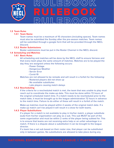

### <span id="page-4-0"></span>**1.3 Team Rules**

#### **1.3.1 Team Name**

 Team names must be a maximum of 15 characters (including spaces). Team names must also be submitted the Sunday after the pre-season matches. Team names will be submitted through a google form that will be provided through the NECL Discord.

#### **1.3.2 Roster Submissions**

Roster submissions must be put in the Roster Channel in the NECL discord.

#### <span id="page-4-1"></span>**1.4 Scheduling and Matches**

#### **1.4.1 Basic Rules**

 All scheduling and matches will be done by the NECL staff to ensure fairness and that every team plays the same amount of matches. Matches are to be played the day they are assigned unless the following occurs:

- Power Outage
- Dangerous Weather
- Server Error
- Covid-19

#### Matches are not allowed to be remade and will result in a forfeit for the following:

- Rostered players did not show up
- No available substitutes
- Late players causing match delays

#### **1.4.2 Rescheduling**

 If the criteria for a rescheduled match is met, the team that was unable to play must reach out to coordinate the make-up date. This must be done within 72 hours of the original scheduled match time. If a match needs to be rescheduled prior to the match date, it must be brought up to the league administration 72 hours in advance to the match time. Failure to do either of these will result in a forfeit of the match.

 Make-up matches must be played within 2 weeks of the original match date. If a make-up match can't be played it will result in a draw for both teams.

#### **1.4.3 Player Substitutions**

 If a player for a match is not available to play in his/her match, a player substitute (sub) from his/her organization can play as a sub. This sub MUST be part of the same organization and must be within 2 ranks of the player being subbed for. This is to ensure that teams are not receiving extra help or an unfair advantage in a match. If there is a dispute about a substitution it can be brought to the league director.

 If a team has a set sub based on their roster size, that player can be substituted only in between games. No substitutions are allowed to take place during any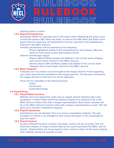

ongoing game or match.

#### **1.4.4 Reporting Substitutes**

 Substitutes MUST be reported prior to the match starts. Reporting the player must include the players IGN, Rank and Team, as well as the IGN, Rank and Team of the player they are replacing. All substitutions must be reported in the Substitutions Channel in the NECL Discord.

Fortnite substitutions will be reported by the following:

 - Player highlighted yellow in the spreadsheet for both players. Must be done for both teams to give both players points.

#### Valorant and Rocket League

- Players IGN and Rank posted and labeled in the correct week category and correct match channel in the NECL discord.
- Absent players IGN and Rank posted and labeled in the correct week category and correct match channel in the NECL discord.

#### **1.4.5 Match Disputes**

 A dispute over any match can be brought to the league director. Proof regarding your claim must also be submitted to the league director. The decision reached by the league director is final and can not be appealed.

Proof can be submitted in the following forms:

- Video
- Screenshot
- Audio Recordings

#### <span id="page-5-0"></span>**1.5 Playoff Rules**

#### **1.5.1 Playoff Match Conduct**

 Matches are to be played the same way as regular season matches with a few exceptions. In Semi-Finals and Finals matches players are required to be in the NECL Discord Teams Chat with a league representative. Both teams coaches will be in the NECL Discord Coaches Chat with a league representative as well. This will allow us to monitor competitive integrity.

#### **1.5.2 Playoff Substitutes**

 Substitutions are not allowed. This is to ensure competitive integrity. The only exception is if there is an emergency that causes the player to be unavailable to play the match.

#### **1.5.3 Playoff Content**

 As part of Playoff Content, coaches and player comms will be recorded. This will allow the creation of unique content that can be used to promote the NECL and its players. Organizations are encouraged to have reaction videos of the teams playing their matches during the playoffs as well.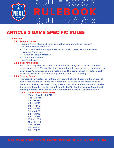

## <span id="page-6-0"></span>ARTICLE 2 GAME SPECIFIC RULES

#### <span id="page-6-1"></span>**2.1 Fortnite**

#### **2.1.1 League Format**

- Custom Arena Matches ( Team size will be determined each season)
- 3 Custom Matches Per Week
- 2 Divisions to split the player base based on skill gap (If enough players)
- 1 Week of Preseason
- 6 Weeks of League Matches
- 2 Tournament weeks
- NA-East Servers

#### **2.1.2 Reporting Scores**

 Each match day coaches are responsible for reporting the scores of their own players and teams. This will be done by inputting the placement of each team, and each player's eliminations in a google sheet. The google sheet will automatically calculate scores for each match day and match for the standings.

#### **2.1.3 Scoring Format**

 The scoring format for the Fortnite matches will change based on the amount of players for each team. Points are awarded for surviving as the match goes on. For example using the duos scoring, a team that came in 8th place would receive 5 placement points (Top 25, Top 20, Top 15, Top 12, Top 9 all reward 1 point each totaling 5 points). The scoring format for each team size will be listed below:

#### **2.1.3.1 Solos (Individual Players)**

 Victory Royale - 29 PTS 2nd - 24 PTS 3rd - 21 PTS 4th - 19 PTS 5th - 17 PTS 6th - 15 PTS 7th - 14 PTS 8th - 13 PTS 9th - 12 PTS 10th - 11 PTS 11th - 10 PTS 12th - 9 PTS 13th - 8 PTS 14th - 7 PTS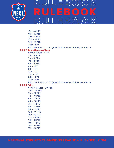

 15th - 6 PTS 16th - 5 PTS 17th - 4 PTS 18th - 3 PTS 19th - 2 PTS 20th - 1 PT Each Elimination - 1 PT (Max 12 Elimination Points per Match)  **2.1.3.2 Duos (Teams of two)** Victory Royal - 7 PTS 2nd - 5 PTS 3rd - 3 PTS 4th - 2 PTS 5th - 2 PTS 6th - 1 PT 9th - 1 PT 12th - 1 PT 15th - 1 PT 20th - 1 PT 25th - 1 PT Each Elimination - 1 PT (Max 12 Elimination Points per Match)  **2.1.3.3 Trios** Victory Royale - 29 PTS 2nd - 24 PTS 3rd - 21 PTS 4th - 19 PTS 5th - 17 PTS 6th - 15 PTS 7th - 14 PTS 8th - 13 PTS 9th - 12 PTS 10th - 11 PTS 11th - 10 PTS 12th - 9 PTS 13th - 8 PTS 14th - 7 PTS 15th - 6 PTS 16th - 5 PTS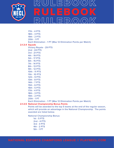

 17th - 4 PTS 18th - 3 PTS 19th - 2 PTS 20th - 1 PT Each Elimination - 1 PT (Max 12 Elimination Points per Match)  **2.1.3.4 Squads** Victory Royale - 29 PTS 2nd - 24 PTS 3rd - 21 PTS 4th - 19 PTS 5th - 17 PTS 6th - 15 PTS 7th - 14 PTS 8th - 13 PTS 9th - 12 PTS 10th - 11 PTS 11th - 10 PTS 12th - 9 PTS 13th - 8 PTS 14th - 7 PTS 15th - 6 PTS 16th - 5 PTS 17th - 4 PTS 18th - 3 PTS 19th - 2 PTS 20th - 1 PT Each Elimination - 1 PT (Max 12 Elimination Points per Match)

#### **2.1.3.5 National Championship Bonus Points**

 Points will be awarded to the top 5 teams at the end of the regular season, which will provide an advantage in the National Championship. The points awarded are listed below.

National Championship Bonus:

 1st - 5 PTS 2nd - 4 PTS 3rd - 3 PTS 4th - 2 PTS 5th - 1 PT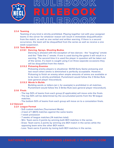

## **2.1.4 Teaming**

 Teaming of any kind is strictly prohibited. Playing together not with your assigned teams in the server for whatever reason will result in immediate disqualification from the match, as well as one verbal and written warning. If there is a second occurrence, the team will be disqualified from the series as well as receive a one week suspension.

#### **2.1.5 Toxic Behavior**

#### **2.1.5.1 Dancing, Sprays, Shooting Bodies**

 Dancing is allowed with the exception of two dances - the "laughing" emote and the "Take the L" emote. If one is used during the game it will result in a warning. The second time it is used the player in question will be taken out of the series. If a team is caught using it on three separate occasions they will be disqualified from the match.

#### **2.1.5.2 Pickaxing Enemies**

 Pickaxing enemy players is situational. 50/50 Early Game pickaxing and last resort when ammo is diminished is perfectly acceptable. However, Pickaxing to finish an enemy when ample amounts of ammo are available or to be toxic is strictly prohibited. Punishment would follow the 3 Strike Rule (see general player misconduct).

#### **2.1.5.3 Words In Builds**

 Building words or letters (an L for example) is prohibited in all matches. Punishment would follow the 3 Strike Rule (see general player misconduct).

### **2.1.6 Finals**

- The top 50% of teams from each group (If applicable) will move onto the finals.
- The top 50% will be determined by the accumulated points from the 18 league matches.
- The bottom 50% of teams from each group will move on to a consolation finals.

#### <span id="page-9-0"></span>**2.2 Valorant**

#### **2.2.1 League Format**

- 5v5 custom matches (Tournament Mode)
- 2 best of 1 (BO1) matches against the same teams
- 1 week preseason
- 7 weeks of league matches (14 matches total)
- Win: Team earns 4 points by winning both BO1 matches in the series.
- Draw: Team earns 2 points by winning one BO1 match in the series while the opposing team wins the other BO1 match.
- Loss: Team earns 0 points by losing both BO1 matches in the series.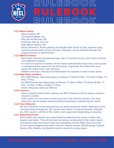

### **2.2.2 Match Setup**

- Allow Cheats: Off
- Tournament Mode: On
- Play Out All Rounds: Off
- Overtime: Win by Two: On
- Hide Match History: Off
- Server Selection: Teams playing can decide what server to play, however ping must be overall equal across all teams. Disputes can be finalized through the league director or administrator.

### **2.2.3 Match Conduct**

- Each team receives two timeouts per map. If overtime occurs, each team receives one additional timeout.
- If a technical pause is needed, let the match administrator know that a tech pause is needed and the reason for the tech pause. If granted, the lobby host must pause the match timer until resolved.
- Halftime will have a 90 Second Intermission for coaches to talk to their teams.

### **2.2.4 Map Picks and Bans**

- For 2 BO1 Series, map select goes as follows: T1 (Team 1) Ban, T2 (Team 2) Ban, T2 Pick, T1 Pick
- For BO3 Series map select goes as follows: T1 (Team 1) Ban, T2 (Team 2) Ban, T1 Pick, T2 Pick, T1 Ban, T2 Ban, T1 Pick)
- Team's Map pick starts on Offense.

### **2.2.5 Coaches**

- Once a playoff match starts coaches are NOT allowed to talk to players unless a timeout is called.
- If the coach is in the server he/she must be in the coaches section. The only observers can be league representatives streaming or monitoring the match.

#### **2.2.6 Toxic Behavior**

 No toxic behavior will be tolerated by any party during the match. Nothing is to be communicated through the "All" game chat unless it is about timeouts, disputes, etc. Will result in a forfeit of the match, and suspension depending on severity.

#### **2.2.7 Reporting Scores**

 Each match day coaches are responsible for reporting the scores of their own players and teams. This will be done by taking a screenshot of the match report scoreboard when the match ends and submitting it to the NECL Discord in the correct week category and match channel. Players names, ACS (Average Combat Score), Kills, Deaths, and Assists must be shown for every player.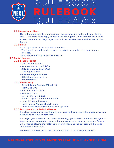

## **2.2.8 Agents and Maps**

 Current banned agents and maps from professional play rules will apply to the NECL. The same rules apply to new maps and agents. No exceptions allowed. If a team plays with an illegal agent and will not remake the match it will result in a forfeit.

### **2.2.9 Finals**

- The top 4 Teams will make the semi-finals.
- The top 4 teams will be determined by points accumulated through league matches.
- Semi-Finals & Finals Will Be BO3 Series.

### <span id="page-11-0"></span>**2.3 Rocket League**

## **2.3.1 League Format**

- 3v3 Custom Matches
- Matches are best of 3 (BO3)
- 3 BO3s Matches Each Week
- 1 week preseason
- 6 weeks league matches
- 18 total matches per team
- 2 tournaments

### **2.3.2 Match Setup**

- Default Arena: Random (Standard)
- Team Size: 3v3
- Bot Difficulty: No Bots
- Mutators: None
- Match Time: 5 Minutes
- Series Length: Dependent on Series
- Joinable: Name/Password
- Team Names: Names of Each Team
- Team colors: Default (Team Focused Optional)

#### **2.3.3 Disconnection or Technical Issues**

 If a player disconnects intentionally, the match will continue to be played as is with no remake or rematch occurring.

 If a player gets disconnected due to server lag, game crash, or internet outage that team must report to their coach so that the correct decision can be made. Teams will continue playing the match until it is finished and the decision will be made when the match is over.

For technical disconnects, matches are allowed to be remade under two